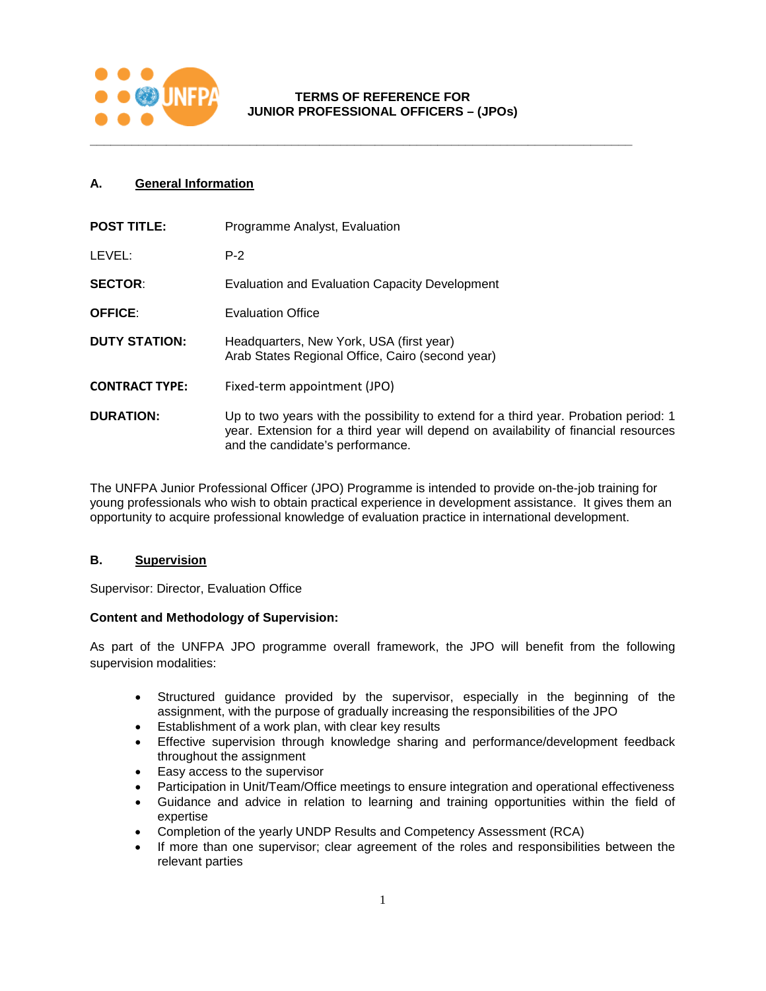

# **TERMS OF REFERENCE FOR JUNIOR PROFESSIONAL OFFICERS – (JPOs)**

**\_\_\_\_\_\_\_\_\_\_\_\_\_\_\_\_\_\_\_\_\_\_\_\_\_\_\_\_\_\_\_\_\_\_\_\_\_\_\_\_\_\_\_\_\_\_\_\_\_\_\_\_\_\_\_\_\_\_\_\_\_\_\_\_\_\_\_\_\_\_\_\_\_\_\_\_\_\_**

# **A. General Information**

| <b>POST TITLE:</b>    | Programme Analyst, Evaluation                                                                                                                                                                                   |
|-----------------------|-----------------------------------------------------------------------------------------------------------------------------------------------------------------------------------------------------------------|
| LEVEL:                | $P-2$                                                                                                                                                                                                           |
| <b>SECTOR:</b>        | Evaluation and Evaluation Capacity Development                                                                                                                                                                  |
| <b>OFFICE:</b>        | <b>Evaluation Office</b>                                                                                                                                                                                        |
| <b>DUTY STATION:</b>  | Headquarters, New York, USA (first year)<br>Arab States Regional Office, Cairo (second year)                                                                                                                    |
| <b>CONTRACT TYPE:</b> | Fixed-term appointment (JPO)                                                                                                                                                                                    |
| <b>DURATION:</b>      | Up to two years with the possibility to extend for a third year. Probation period: 1<br>year. Extension for a third year will depend on availability of financial resources<br>and the candidate's performance. |

The UNFPA Junior Professional Officer (JPO) Programme is intended to provide on-the-job training for young professionals who wish to obtain practical experience in development assistance. It gives them an opportunity to acquire professional knowledge of evaluation practice in international development.

### **B. Supervision**

Supervisor: Director, Evaluation Office

#### **Content and Methodology of Supervision:**

As part of the UNFPA JPO programme overall framework, the JPO will benefit from the following supervision modalities:

- Structured guidance provided by the supervisor, especially in the beginning of the assignment, with the purpose of gradually increasing the responsibilities of the JPO
- Establishment of a work plan, with clear key results
- Effective supervision through knowledge sharing and performance/development feedback throughout the assignment
- Easy access to the supervisor
- Participation in Unit/Team/Office meetings to ensure integration and operational effectiveness
- Guidance and advice in relation to learning and training opportunities within the field of expertise
- Completion of the yearly UNDP Results and Competency Assessment (RCA)
- If more than one supervisor; clear agreement of the roles and responsibilities between the relevant parties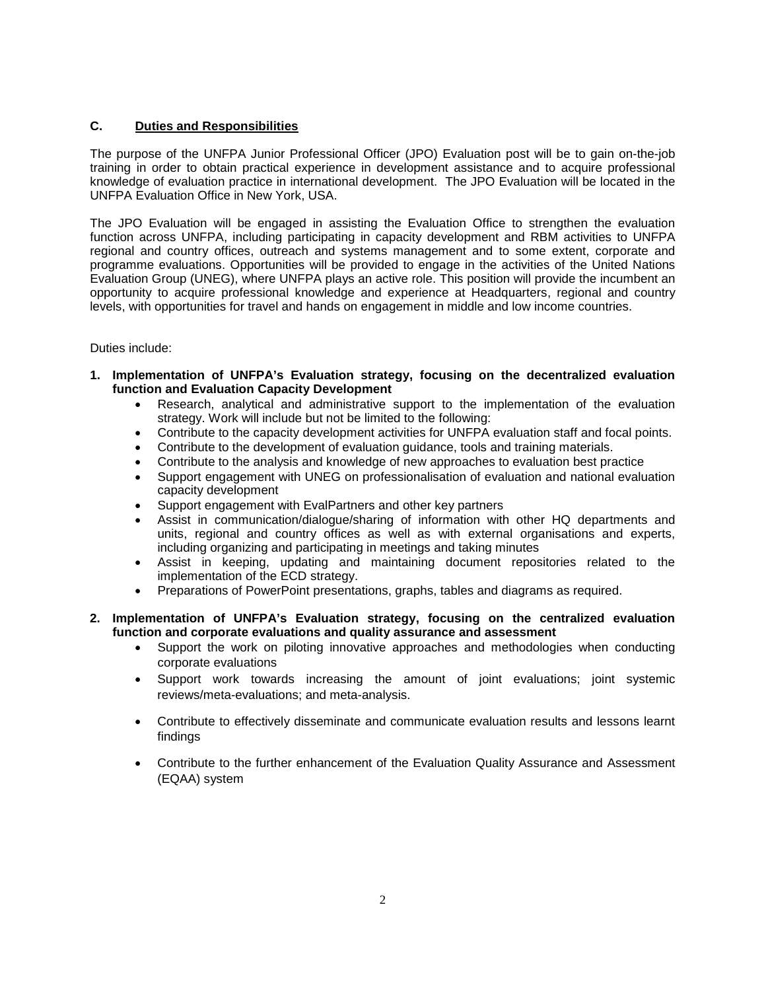#### **C. Duties and Responsibilities**

The purpose of the UNFPA Junior Professional Officer (JPO) Evaluation post will be to gain on-the-job training in order to obtain practical experience in development assistance and to acquire professional knowledge of evaluation practice in international development. The JPO Evaluation will be located in the UNFPA Evaluation Office in New York, USA.

The JPO Evaluation will be engaged in assisting the Evaluation Office to strengthen the evaluation function across UNFPA, including participating in capacity development and RBM activities to UNFPA regional and country offices, outreach and systems management and to some extent, corporate and programme evaluations. Opportunities will be provided to engage in the activities of the United Nations Evaluation Group (UNEG), where UNFPA plays an active role. This position will provide the incumbent an opportunity to acquire professional knowledge and experience at Headquarters, regional and country levels, with opportunities for travel and hands on engagement in middle and low income countries.

#### Duties include:

- **1. Implementation of UNFPA's Evaluation strategy, focusing on the decentralized evaluation function and Evaluation Capacity Development** 
	- Research, analytical and administrative support to the implementation of the evaluation strategy. Work will include but not be limited to the following:
	- Contribute to the capacity development activities for UNFPA evaluation staff and focal points.
	- Contribute to the development of evaluation guidance, tools and training materials.
	- Contribute to the analysis and knowledge of new approaches to evaluation best practice
	- Support engagement with UNEG on professionalisation of evaluation and national evaluation capacity development
	- Support engagement with EvalPartners and other key partners
	- Assist in communication/dialogue/sharing of information with other HQ departments and units, regional and country offices as well as with external organisations and experts, including organizing and participating in meetings and taking minutes
	- Assist in keeping, updating and maintaining document repositories related to the implementation of the ECD strategy.
	- Preparations of PowerPoint presentations, graphs, tables and diagrams as required.

## **2. Implementation of UNFPA's Evaluation strategy, focusing on the centralized evaluation function and corporate evaluations and quality assurance and assessment**

- Support the work on piloting innovative approaches and methodologies when conducting corporate evaluations
- Support work towards increasing the amount of joint evaluations; joint systemic reviews/meta-evaluations; and meta-analysis.
- Contribute to effectively disseminate and communicate evaluation results and lessons learnt findings
- Contribute to the further enhancement of the Evaluation Quality Assurance and Assessment (EQAA) system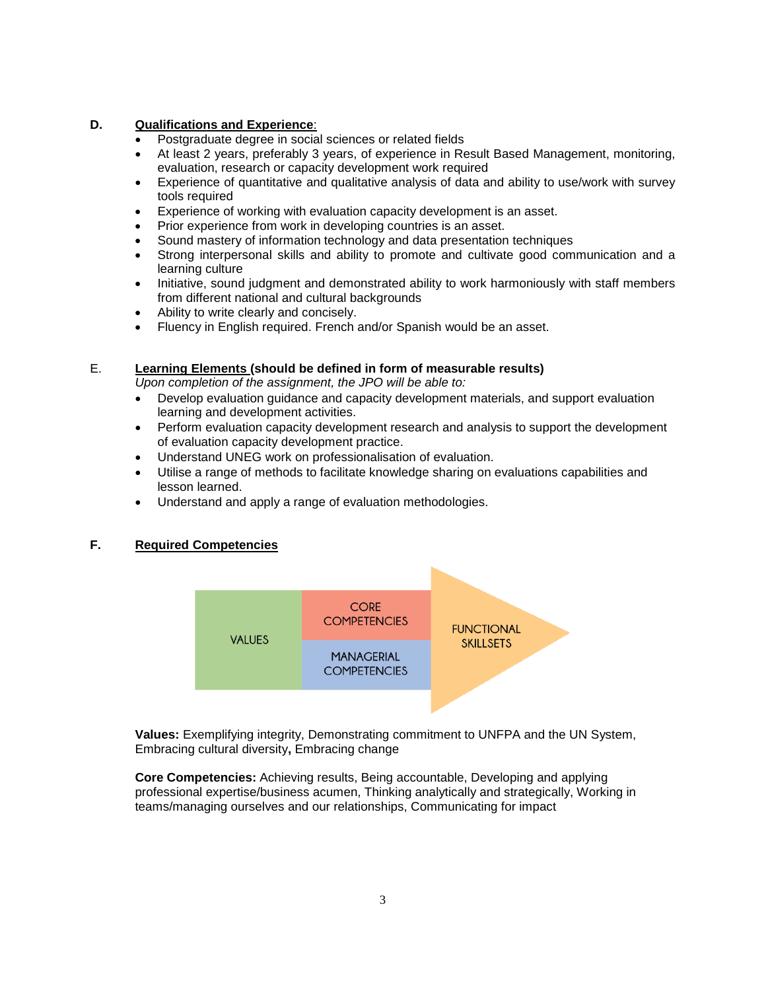# **D. Qualifications and Experience**:

- Postgraduate degree in social sciences or related fields
- At least 2 years, preferably 3 years, of experience in Result Based Management, monitoring, evaluation, research or capacity development work required
- Experience of quantitative and qualitative analysis of data and ability to use/work with survey tools required
- Experience of working with evaluation capacity development is an asset.
- Prior experience from work in developing countries is an asset.
- Sound mastery of information technology and data presentation techniques
- Strong interpersonal skills and ability to promote and cultivate good communication and a learning culture
- Initiative, sound judgment and demonstrated ability to work harmoniously with staff members from different national and cultural backgrounds
- Ability to write clearly and concisely.
- Fluency in English required. French and/or Spanish would be an asset.

## E. **Learning Elements (should be defined in form of measurable results)**

*Upon completion of the assignment, the JPO will be able to:*

- Develop evaluation guidance and capacity development materials, and support evaluation learning and development activities.
- Perform evaluation capacity development research and analysis to support the development of evaluation capacity development practice.
- Understand UNEG work on professionalisation of evaluation.
- Utilise a range of methods to facilitate knowledge sharing on evaluations capabilities and lesson learned.
- Understand and apply a range of evaluation methodologies.

# **F. Required Competencies**



**Values:** Exemplifying integrity, Demonstrating commitment to UNFPA and the UN System, Embracing cultural diversity**,** Embracing change

**Core Competencies:** Achieving results, Being accountable, Developing and applying professional expertise/business acumen, Thinking analytically and strategically, Working in teams/managing ourselves and our relationships, Communicating for impact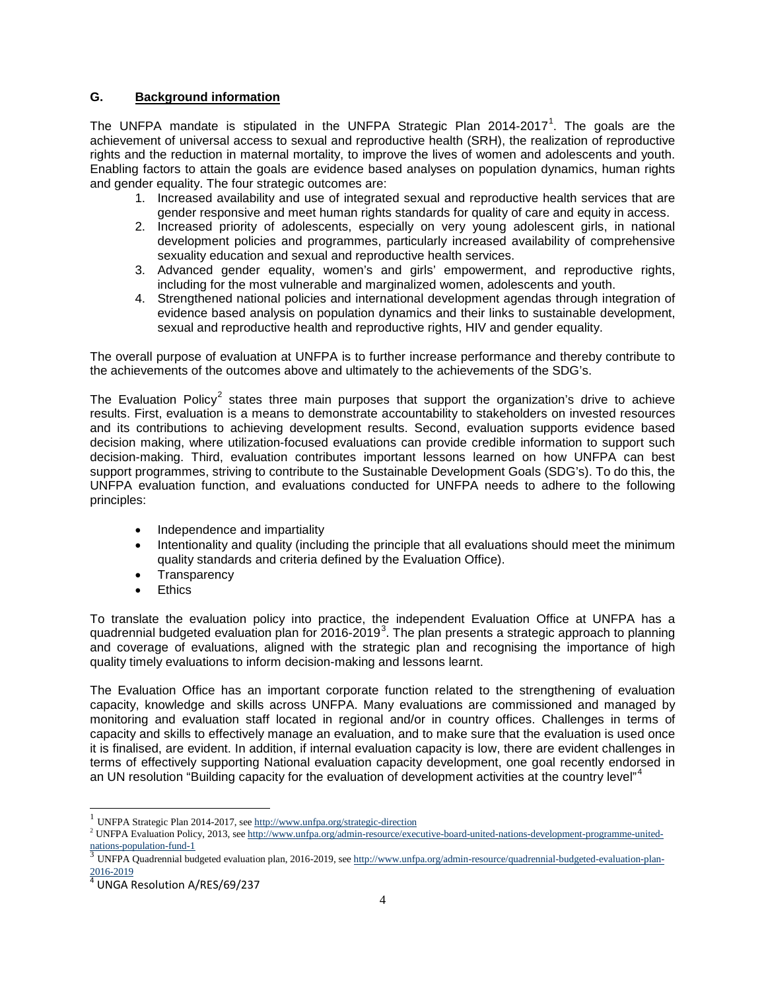## **G. Background information**

The UNFPA mandate is stipulated in the UNFPA Strategic Plan 20[1](#page-3-0)4-2017<sup>1</sup>. The goals are the achievement of universal access to sexual and reproductive health (SRH), the realization of reproductive rights and the reduction in maternal mortality, to improve the lives of women and adolescents and youth. Enabling factors to attain the goals are evidence based analyses on population dynamics, human rights and gender equality. The four strategic outcomes are:

- 1. Increased availability and use of integrated sexual and reproductive health services that are gender responsive and meet human rights standards for quality of care and equity in access.
- 2. Increased priority of adolescents, especially on very young adolescent girls, in national development policies and programmes, particularly increased availability of comprehensive sexuality education and sexual and reproductive health services.
- 3. Advanced gender equality, women's and girls' empowerment, and reproductive rights, including for the most vulnerable and marginalized women, adolescents and youth.
- 4. Strengthened national policies and international development agendas through integration of evidence based analysis on population dynamics and their links to sustainable development, sexual and reproductive health and reproductive rights, HIV and gender equality.

The overall purpose of evaluation at UNFPA is to further increase performance and thereby contribute to the achievements of the outcomes above and ultimately to the achievements of the SDG's.

The Evaluation Policy<sup>[2](#page-3-1)</sup> states three main purposes that support the organization's drive to achieve results. First, evaluation is a means to demonstrate accountability to stakeholders on invested resources and its contributions to achieving development results. Second, evaluation supports evidence based decision making, where utilization-focused evaluations can provide credible information to support such decision-making. Third, evaluation contributes important lessons learned on how UNFPA can best support programmes, striving to contribute to the Sustainable Development Goals (SDG's). To do this, the UNFPA evaluation function, and evaluations conducted for UNFPA needs to adhere to the following principles:

- Independence and impartiality
- Intentionality and quality (including the principle that all evaluations should meet the minimum quality standards and criteria defined by the Evaluation Office).
- Transparency
- Ethics

To translate the evaluation policy into practice, the independent Evaluation Office at UNFPA has a quadrennial budgeted evaluation plan for 2016-2019<sup>[3](#page-3-2)</sup>. The plan presents a strategic approach to planning and coverage of evaluations, aligned with the strategic plan and recognising the importance of high quality timely evaluations to inform decision-making and lessons learnt.

The Evaluation Office has an important corporate function related to the strengthening of evaluation capacity, knowledge and skills across UNFPA. Many evaluations are commissioned and managed by monitoring and evaluation staff located in regional and/or in country offices. Challenges in terms of capacity and skills to effectively manage an evaluation, and to make sure that the evaluation is used once it is finalised, are evident. In addition, if internal evaluation capacity is low, there are evident challenges in terms of effectively supporting National evaluation capacity development, one goal recently endorsed in an UN resolution "Building capacity for the evaluation of development activities at the country level"<sup>[4](#page-3-3)</sup>

 $^{1}$  UNFPA Strategic Plan 2014-2017, se[e http://www.unfpa.org/strategic-direction](http://www.unfpa.org/strategic-direction)

<span id="page-3-1"></span><span id="page-3-0"></span><sup>2</sup> UNFPA Evaluation Policy, 2013, se[e http://www.unfpa.org/admin-resource/executive-board-united-nations-development-programme-united-](http://www.unfpa.org/admin-resource/executive-board-united-nations-development-programme-united-nations-population-fund-1)

<span id="page-3-2"></span>UNFPA Quadrennial budgeted evaluation plan, 2016-2019, see [http://www.unfpa.org/admin-resource/quadrennial-budgeted-evaluation-plan-](http://www.unfpa.org/admin-resource/quadrennial-budgeted-evaluation-plan-2016-2019)

<span id="page-3-3"></span> $\frac{2016-2019}{4}$  $\frac{2016-2019}{4}$  $\frac{2016-2019}{4}$  UNGA Resolution A/RES/69/237